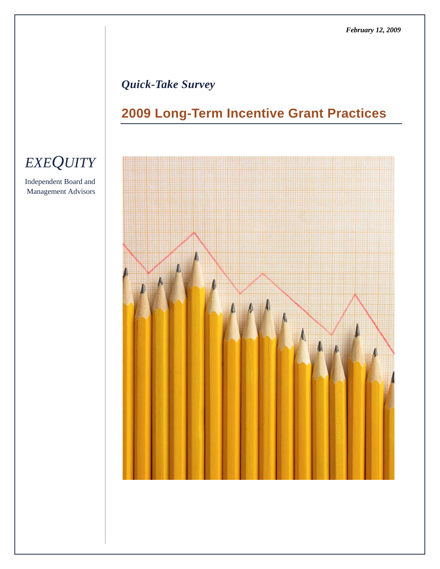# *Quick-Take Survey*

# **2009 Long-Term Incentive Grant Practices**



# *EXEQUITY*

Independent Board and Management Advisors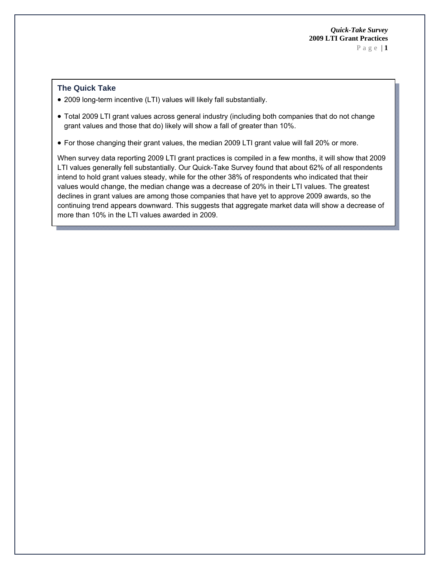# **The Quick Take**

- 2009 long-term incentive (LTI) values will likely fall substantially.
- Total 2009 LTI grant values across general industry (including both companies that do not change grant values and those that do) likely will show a fall of greater than 10%.
- For those changing their grant values, the median 2009 LTI grant value will fall 20% or more.

When survey data reporting 2009 LTI grant practices is compiled in a few months, it will show that 2009 LTI values generally fell substantially. Our Quick-Take Survey found that about 62% of all respondents intend to hold grant values steady, while for the other 38% of respondents who indicated that their values would change, the median change was a decrease of 20% in their LTI values. The greatest declines in grant values are among those companies that have yet to approve 2009 awards, so the continuing trend appears downward. This suggests that aggregate market data will show a decrease of more than 10% in the LTI values awarded in 2009.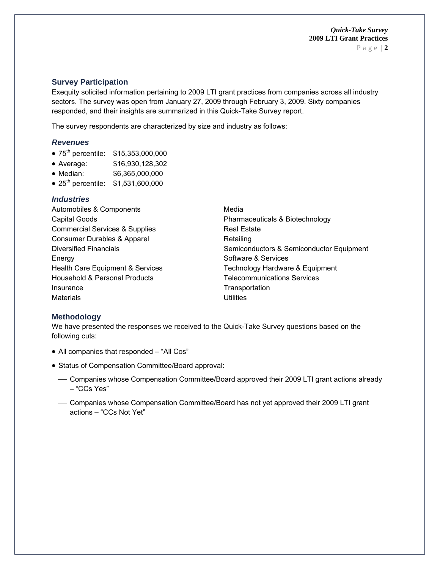Page | **2**

### **Survey Participation**

Exequity solicited information pertaining to 2009 LTI grant practices from companies across all industry sectors. The survey was open from January 27, 2009 through February 3, 2009. Sixty companies responded, and their insights are summarized in this Quick-Take Survey report.

The survey respondents are characterized by size and industry as follows:

#### *Revenues*

- 75<sup>th</sup> percentile: \$15,353,000,000
- Average: \$16,930,128,302
- Median: \$6,365,000,000
- 25<sup>th</sup> percentile: \$1,531,600,000

## *Industries*

| Automobiles & Components                  | Media                                    |
|-------------------------------------------|------------------------------------------|
| <b>Capital Goods</b>                      | Pharmaceuticals & Biotechnology          |
| <b>Commercial Services &amp; Supplies</b> | <b>Real Estate</b>                       |
| Consumer Durables & Apparel               | Retailing                                |
| <b>Diversified Financials</b>             | Semiconductors & Semiconductor Equipment |
| Energy                                    | Software & Services                      |
| Health Care Equipment & Services          | Technology Hardware & Equipment          |
| Household & Personal Products             | <b>Telecommunications Services</b>       |
| Insurance                                 | Transportation                           |
| <b>Materials</b>                          | Utilities                                |

### **Methodology**

We have presented the responses we received to the Quick-Take Survey questions based on the following cuts:

- All companies that responded "All Cos"
- Status of Compensation Committee/Board approval:
	- Companies whose Compensation Committee/Board approved their 2009 LTI grant actions already – "CCs Yes"
	- Companies whose Compensation Committee/Board has not yet approved their 2009 LTI grant actions – "CCs Not Yet"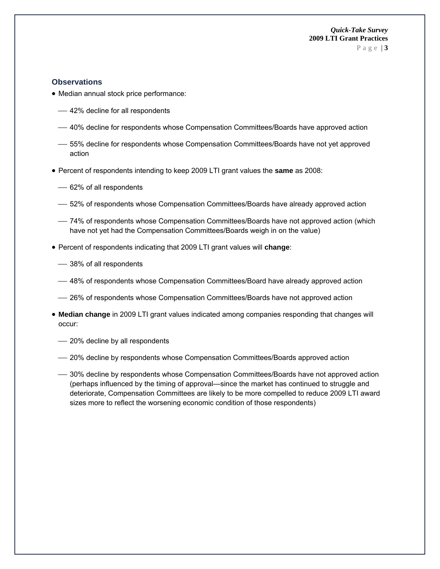Page | **3**

#### **Observations**

- Median annual stock price performance:
	- 42% decline for all respondents
	- ⎯ 40% decline for respondents whose Compensation Committees/Boards have approved action
	- ⎯ 55% decline for respondents whose Compensation Committees/Boards have not yet approved action
- Percent of respondents intending to keep 2009 LTI grant values the **same** as 2008:
	- 62% of all respondents
	- ⎯ 52% of respondents whose Compensation Committees/Boards have already approved action
	- ⎯ 74% of respondents whose Compensation Committees/Boards have not approved action (which have not yet had the Compensation Committees/Boards weigh in on the value)
- Percent of respondents indicating that 2009 LTI grant values will **change**:
	- 38% of all respondents
	- ⎯ 48% of respondents whose Compensation Committees/Board have already approved action
	- ⎯ 26% of respondents whose Compensation Committees/Boards have not approved action
- **Median change** in 2009 LTI grant values indicated among companies responding that changes will occur:
	- 20% decline by all respondents
	- ⎯ 20% decline by respondents whose Compensation Committees/Boards approved action
	- ⎯ 30% decline by respondents whose Compensation Committees/Boards have not approved action (perhaps influenced by the timing of approval—since the market has continued to struggle and deteriorate, Compensation Committees are likely to be more compelled to reduce 2009 LTI award sizes more to reflect the worsening economic condition of those respondents)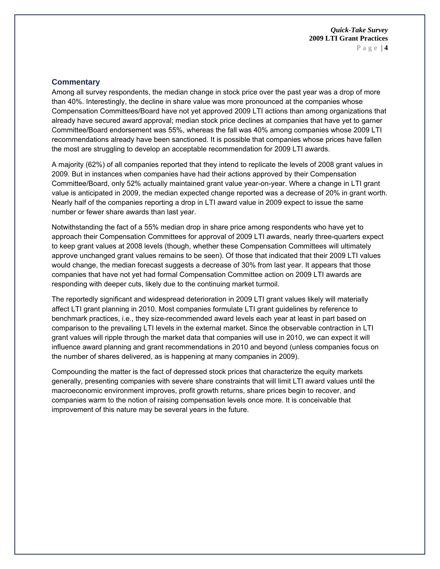#### **Commentary**

Among all survey respondents, the median change in stock price over the past year was a drop of more than 40%. Interestingly, the decline in share value was more pronounced at the companies whose Compensation Committees/Board have not yet approved 2009 LTI actions than among organizations that already have secured award approval; median stock price declines at companies that have yet to garner Committee/Board endorsement was 55%, whereas the fall was 40% among companies whose 2009 LTI recommendations already have been sanctioned. It is possible that companies whose prices have fallen the most are struggling to develop an acceptable recommendation for 2009 LTI awards.

A majority (62%) of all companies reported that they intend to replicate the levels of 2008 grant values in 2009. But in instances when companies have had their actions approved by their Compensation Committee/Board, only 52% actually maintained grant value year-on-year. Where a change in LTI grant value is anticipated in 2009, the median expected change reported was a decrease of 20% in grant worth. Nearly half of the companies reporting a drop in LTI award value in 2009 expect to issue the same number or fewer share awards than last year.

Notwithstanding the fact of a 55% median drop in share price among respondents who have yet to approach their Compensation Committees for approval of 2009 LTI awards, nearly three-quarters expect to keep grant values at 2008 levels (though, whether these Compensation Committees will ultimately approve unchanged grant values remains to be seen). Of those that indicated that their 2009 LTI values would change, the median forecast suggests a decrease of 30% from last year. It appears that those companies that have not yet had formal Compensation Committee action on 2009 LTI awards are responding with deeper cuts, likely due to the continuing market turmoil.

The reportedly significant and widespread deterioration in 2009 LTI grant values likely will materially affect LTI grant planning in 2010. Most companies formulate LTI grant guidelines by reference to benchmark practices, i.e., they size-recommended award levels each year at least in part based on comparison to the prevailing LTI levels in the external market. Since the observable contraction in LTI grant values will ripple through the market data that companies will use in 2010, we can expect it will influence award planning and grant recommendations in 2010 and beyond (unless companies focus on the number of shares delivered, as is happening at many companies in 2009).

Compounding the matter is the fact of depressed stock prices that characterize the equity markets generally, presenting companies with severe share constraints that will limit LTI award values until the macroeconomic environment improves, profit growth returns, share prices begin to recover, and companies warm to the notion of raising compensation levels once more. It is conceivable that improvement of this nature may be several years in the future.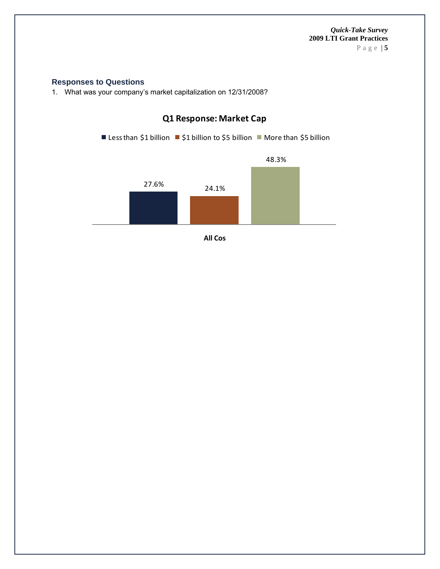Page | **5**

#### **Responses to Questions**

1. What was your company's market capitalization on 12/31/2008?



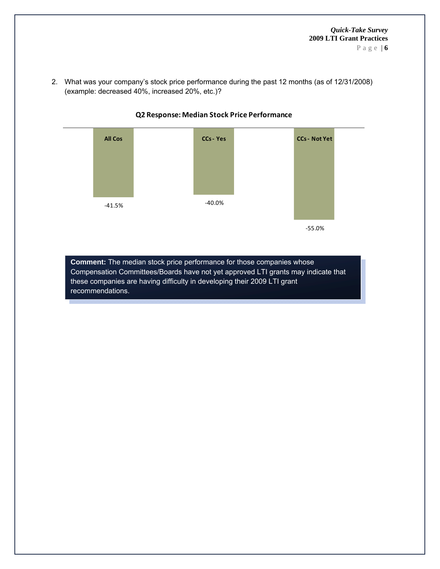2. What was your company's stock price performance during the past 12 months (as of 12/31/2008) (example: decreased 40%, increased 20%, etc.)?



**Q2 Response: Median Stock Price Performance**

**Comment:** The median stock price performance for those companies whose Compensation Committees/Boards have not yet approved LTI grants may indicate that these companies are having difficulty in developing their 2009 LTI grant recommendations.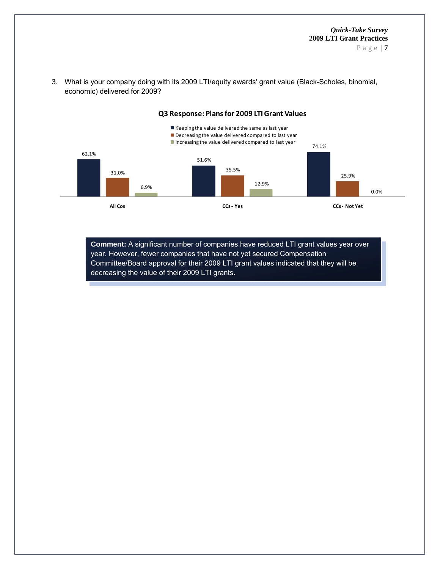Page | **7**



3. What is your company doing with its 2009 LTI/equity awards' grant value (Black-Scholes, binomial, economic) delivered for 2009?

> **Comment:** A significant number of companies have reduced LTI grant values year over year. However, fewer companies that have not yet secured Compensation Committee/Board approval for their 2009 LTI grant values indicated that they will be decreasing the value of their 2009 LTI grants.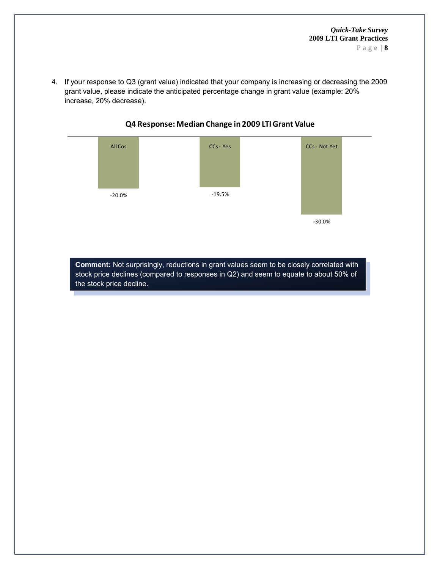4. If your response to Q3 (grant value) indicated that your company is increasing or decreasing the 2009 grant value, please indicate the anticipated percentage change in grant value (example: 20% increase, 20% decrease).



# **Q4 Response:Median Change in 2009 LTIGrant Value**

**Comment:** Not surprisingly, reductions in grant values seem to be closely correlated with stock price declines (compared to responses in Q2) and seem to equate to about 50% of the stock price decline.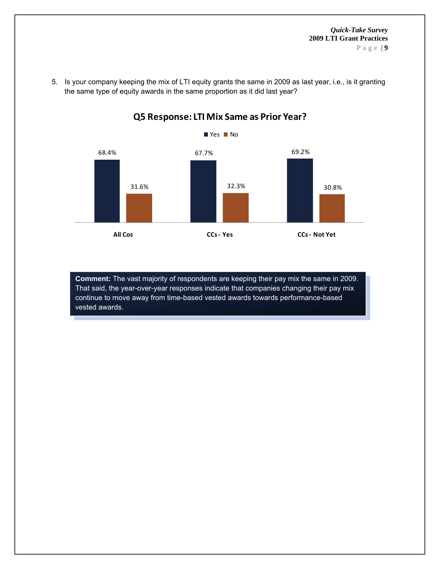Page | **9**



5. Is your company keeping the mix of LTI equity grants the same in 2009 as last year, i.e., is it granting the same type of equity awards in the same proportion as it did last year?

**Q5 Response: LTI Mix Same as Prior Year?**

**Comment:** The vast majority of respondents are keeping their pay mix the same in 2009. That said, the year-over-year responses indicate that companies changing their pay mix continue to move away from time-based vested awards towards performance-based vested awards.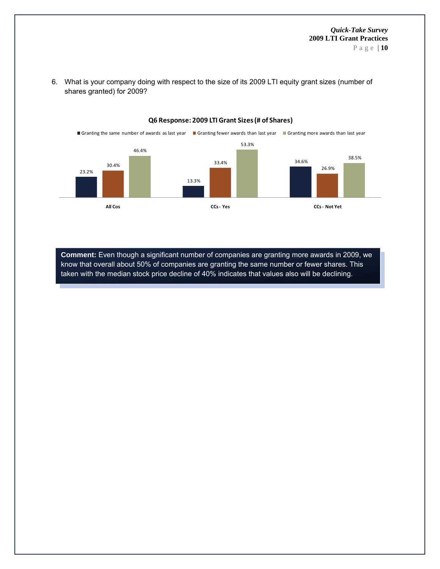

**Q6 Response: 2009 LTIGrant Sizes(# of Shares)**

6. What is your company doing with respect to the size of its 2009 LTI equity grant sizes (number of shares granted) for 2009?

**Comment:** Even though a significant number of companies are granting more awards in 2009, we know that overall about 50% of companies are granting the same number or fewer shares. This taken with the median stock price decline of 40% indicates that values also will be declining.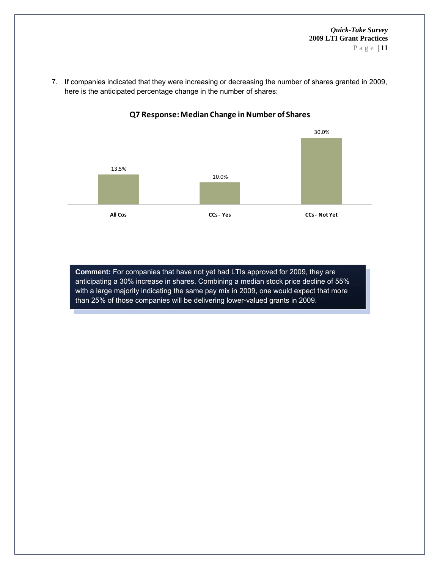7. If companies indicated that they were increasing or decreasing the number of shares granted in 2009, here is the anticipated percentage change in the number of shares:



## **Q7 Response:Median Change inNumber of Shares**

**Comment:** For companies that have not yet had LTIs approved for 2009, they are anticipating a 30% increase in shares. Combining a median stock price decline of 55% with a large majority indicating the same pay mix in 2009, one would expect that more than 25% of those companies will be delivering lower-valued grants in 2009.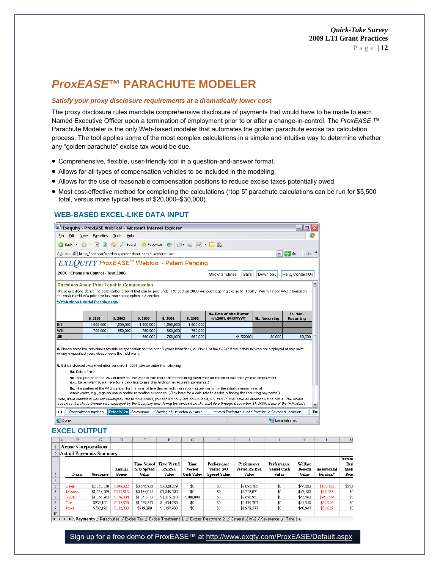Page | **12**

# *ProxEASE***™ PARACHUTE MODELER**

#### *Satisfy your proxy disclosure requirements at a dramatically lower cost*

The proxy disclosure rules mandate comprehensive disclosure of payments that would have to be made to each Named Executive Officer upon a termination of employment prior to or after a change-in-control. The *ProxEASE* ™ Parachute Modeler is the only Web-based modeler that automates the golden parachute excise tax calculation process. The tool applies some of the most complex calculations in a simple and intuitive way to determine whether any "golden parachute" excise tax would be due.

- Comprehensive, flexible, user-friendly tool in a question-and-answer format.
- Allows for all types of compensation vehicles to be included in the modeling.
- Allows for the use of reasonable compensation positions to reduce excise taxes potentially owed.
- Most cost-effective method for completing the calculations ("top 5" parachute calculations can be run for \$5,500 total, versus more typical fees of \$20,000–\$30,000).

#### **WEB-BASED EXCEL-LIKE DATA lNPUT**

| l X<br>Exequity - ProxEASE WebTool - Microsoft Internet Explorer<br>a l                                                                                                                                                                                                                                                             |                     |                             |           |                            |           |                                                   |           |                                                        |                              |     |
|-------------------------------------------------------------------------------------------------------------------------------------------------------------------------------------------------------------------------------------------------------------------------------------------------------------------------------------|---------------------|-----------------------------|-----------|----------------------------|-----------|---------------------------------------------------|-----------|--------------------------------------------------------|------------------------------|-----|
| Edit<br>Favorites<br>Tools<br>File<br>View<br>Help                                                                                                                                                                                                                                                                                  |                     |                             |           |                            |           |                                                   |           |                                                        |                              |     |
| 日价<br>$\vert x \vert$<br>Back <b>T</b>                                                                                                                                                                                                                                                                                              |                     |                             |           |                            |           |                                                   |           |                                                        |                              |     |
| $Links$ <sup>33</sup><br>Address ( ) http://localhost/members/spreadsheet.aspx?UserFormID=4<br>→<br>Go<br>$\checkmark$                                                                                                                                                                                                              |                     |                             |           |                            |           |                                                   |           |                                                        |                              |     |
| $\mathit{EXEQUITY}$ ProxEASE $^{\text{\tiny{\textsf{TM}}}}$ Webtool - Patent Pending                                                                                                                                                                                                                                                |                     |                             |           |                            |           |                                                   |           |                                                        |                              |     |
| 280G : Change in Control - Test 280G<br>Show Gridlines<br>Save<br>Help, Contact Us<br>Download                                                                                                                                                                                                                                      |                     |                             |           |                            |           |                                                   |           |                                                        |                              |     |
| <b>Questions About Prior Taxable Compensation</b><br>These questions derive the safe harbor amount that can be paid under IRC Section 280G without triggering excise tax liability. You will need W-2 information<br>for each individual's prior five tax years to complete this section.<br>Watch video tutorial for this page.    |                     |                             |           |                            |           |                                                   |           |                                                        |                              |     |
|                                                                                                                                                                                                                                                                                                                                     | 8.2001              | 8.2002                      | 8.2003    | 8.2004                     | 8.2005    | 9a. Date of hire if after<br>1/1/2001. (M/D/YYYY) |           | <b>9b. Recurring</b>                                   | Sc. Non-<br><b>Recurring</b> |     |
| <b>Bill</b>                                                                                                                                                                                                                                                                                                                         | 1,600,000           | 1,500,000                   | 1,600,000 | 1,500,000                  | 1,600,000 |                                                   |           |                                                        |                              |     |
| Will                                                                                                                                                                                                                                                                                                                                | 700,000             | 650,000                     | 750,000   | 650,000                    | 750,000   |                                                   |           |                                                        |                              |     |
| Jill                                                                                                                                                                                                                                                                                                                                |                     |                             | 650.000   | 750.000                    | 650.000   |                                                   | 4/15/2003 | 430.000                                                | 60.000                       | 亖   |
| 8. Please enter the individual's taxable compensation for the prior 5 years identified (i.e., Box 1 of the W-2)? If the individual was not employed at any point<br>during a specified year, please leave the field blank.<br>9. If the individual was hired after January 1, 2001, please enter the following:<br>9a. Date of hire |                     |                             |           |                            |           |                                                   |           |                                                        |                              |     |
| 9b. The portion of the W-2 number for the year of hire that reflects recurring payments for the initial calendar year of employment,<br>e.g., base salary (Click here for a calculate to assist in finding the recurring payments.)                                                                                                 |                     |                             |           |                            |           |                                                   |           |                                                        |                              |     |
| 9c. The portion of the W-2 number for the year of hire that reflects nonrecurring payments for the initial calendar year of<br>employment, e.g., sign-on bonus and/or relocation expenses. (Click here for a calculate to assist in finding the recurring payments.)                                                                |                     |                             |           |                            |           |                                                   |           |                                                        |                              |     |
| Note, if the individual was not employed prior to 12/31/2005, you should complete columns 9a, 9b, and 9c and leave all other columns blank. The model<br>assumes that the individual was employed by the Company only during the period from the start date through December 31, 2006. If any of the individuals<br>$\checkmark$    |                     |                             |           |                            |           |                                                   |           |                                                        |                              |     |
|                                                                                                                                                                                                                                                                                                                                     | General/Assumptions | <b>Prior W-2s Severance</b> |           | Vesting of Unvested Awards |           |                                                   |           | Award Forfeiture due to Restrictive Covenant Violation |                              | Tim |
| <b>Done</b>                                                                                                                                                                                                                                                                                                                         |                     |                             |           |                            |           |                                                   |           |                                                        | Local intranet               |     |

#### **EXCEL OUTPUT**

|                  | A                       | В       | С           | D                      | E                                         | F                                            | G                                   | H                                                |                                              |                                            | К                           |                         | M                             |
|------------------|-------------------------|---------|-------------|------------------------|-------------------------------------------|----------------------------------------------|-------------------------------------|--------------------------------------------------|----------------------------------------------|--------------------------------------------|-----------------------------|-------------------------|-------------------------------|
|                  | <b>Acme Corporation</b> |         |             |                        |                                           |                                              |                                     |                                                  |                                              |                                            |                             |                         |                               |
| $\overline{2}$   | Actual Payments Summary |         |             |                        |                                           |                                              |                                     |                                                  |                                              |                                            |                             |                         |                               |
| 3                |                         | Name    | Severance   | Annual<br><b>Bonus</b> | <b>Time Vested</b><br>S/O Spread<br>Value | <b>Time Vested</b><br><b>RS/RSU</b><br>Value | Time<br><b>Vested</b><br>Cash Value | Performance<br>Vested S/O<br><b>Spread Value</b> | Performance<br><b>Vested RS/RSU</b><br>Value | Performance<br><b>Vested Cash</b><br>Value | Welfare<br>Benefit<br>Value | Incremental<br>Pension* | Increm<br>Reti<br>Medi<br>Ben |
| 4                |                         |         |             |                        |                                           |                                              |                                     |                                                  |                                              |                                            |                             |                         |                               |
| 5                |                         | Davis   | \$2,358,130 | \$393,022              | \$3,546,853                               | \$5,320,279                                  | \$0                                 | \$0                                              | \$7,093,705                                  | \$0                                        | \$44,282                    | \$153,185               | \$87.9                        |
| 6                |                         | Johnson | \$1,534,909 | \$255,818              | \$2,164,015                               | \$3,246,023                                  | \$0                                 | \$0                                              | \$4,328,031                                  | \$0                                        | \$43,582                    | \$75,283                | \$0                           |
| 7                |                         | Smith   | \$1,056,202 | \$176,034              | \$1,343,475                               | \$2,015,213                                  | \$300,000                           | \$0                                              | \$2,686,951                                  | \$0                                        | \$45,862                    | \$943,354               | \$0                           |
| 8                |                         | Doe     | \$935,100   | \$155,850              | \$1,089,853                               | \$1,634,780                                  | \$0                                 | \$0                                              | \$2,179,707                                  | \$0                                        | \$41,358                    | \$34,946                | \$0                           |
| 9                |                         | Jones   | \$732,198   | \$122,033              | \$979,289                                 | \$1,468,933                                  | \$0                                 | \$0                                              | \$1,958,577                                  | \$0                                        | \$40,947                    | \$51,039                | \$0                           |
| 10 <sup>10</sup> |                         |         |             |                        |                                           |                                              |                                     |                                                  | $\overline{\phantom{a}}$                     |                                            | $\overline{ }$              |                         |                               |

 $|A \rightarrow M\angle$  Payments  $\angle$  Parachutes  $\angle$  Excise Tax  $\angle$  Excise Treatment 1  $\angle$  Excise Treatment 2  $\angle$  General  $\angle$  W-2  $\angle$  Severance  $\angle$  Time  $|\triangle|$ 

Sign up for a free demo of ProxEASE™ at http://www.exqty.com/ProxEASE/Default.aspx